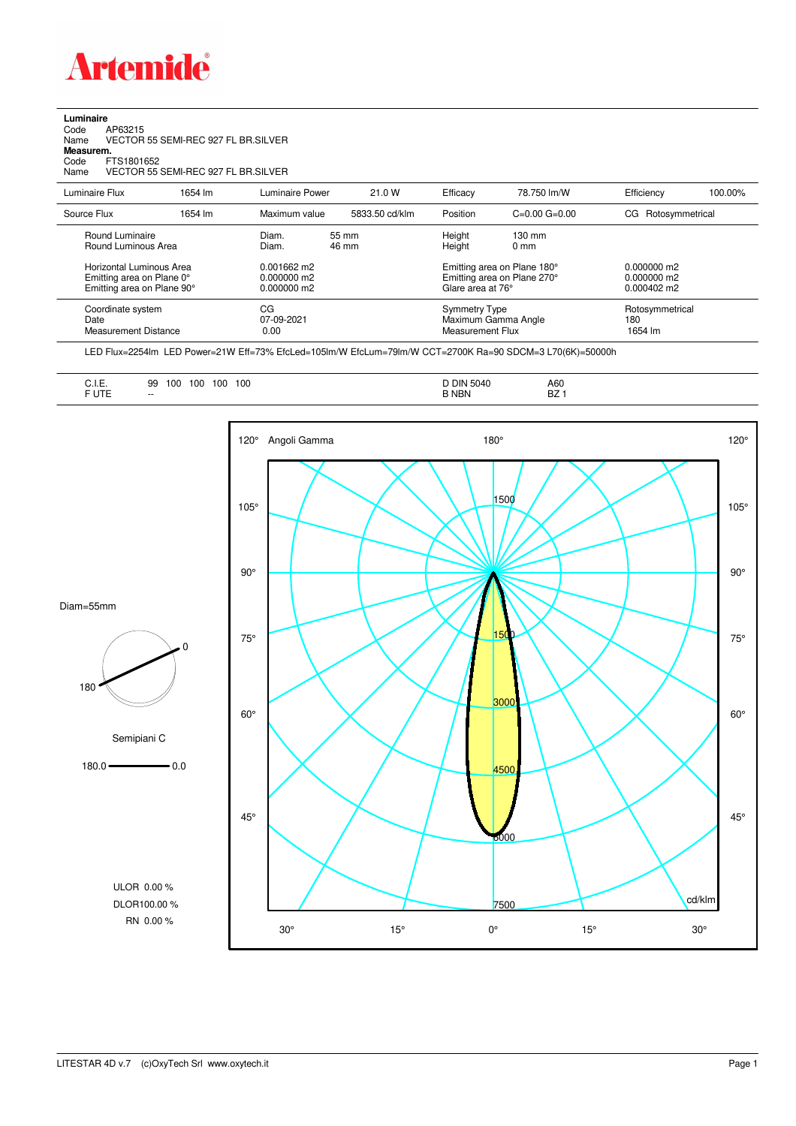

## **Luminaire**

Code AP63215 Name VECTOR 55 SEMI-REC 927 FL BR.SILVER Code A<br>Name V<br>**Measurem.** Code FTS1801652<br>Name VECTOR 55 VECTOR 55 SEMI-REC 927 FL BR.SILVER

Luminaire Flux 1654 lm Luminaire Power 21.0 W Efficacy 78.750 lm/W Efficiency 100.00% Source Flux 1654 lm Maximum value 5833.50 cd/klm Position C=0.00 G=0.00 CG Rotosymmetrical Round Luminaire Diam. 55 mm Height 130 mm Round Luminous Area Horizontal Luminous Area 0.001662 m2 Emitting area on Plane 180° 0.000000 m2<br>Emitting area on Plane 0° 0.000000 m2 Emitting area on Plane 270° 0.000000 m2 Emitting area on Plane 90° 0.000000 m2 Glare area at 76° 0.000402 m2 Coordinate system CG CG CG CG CG Symmetry Type Symmetry Type Rotosymmetrical<br>
Date CG C7-09-2021 CT-09-2021 Maximum Gamma Angle 180 or-09-2021 Maximum Gamma Angle 180<br>1654 Im Measurement Flux 1654 Im Measurement Distance

LED Flux=2254lm LED Power=21W Eff=73% EfcLed=105lm/W EfcLum=79lm/W CCT=2700K Ra=90 SDCM=3 L70(6K)=50000h